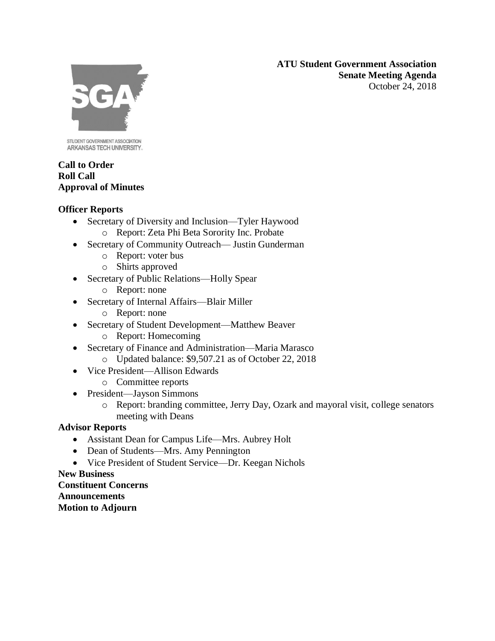**ATU Student Government Association Senate Meeting Agenda** October 24, 2018



STUDENT GOVERNMENT ASSOCIATION ARKANSAS TECH UNIVERSITY.

### **Call to Order Roll Call Approval of Minutes**

## **Officer Reports**

- Secretary of Diversity and Inclusion—Tyler Haywood
	- o Report: Zeta Phi Beta Sorority Inc. Probate
- Secretary of Community Outreach— Justin Gunderman
	- o Report: voter bus
	- o Shirts approved
- Secretary of Public Relations—Holly Spear
	- o Report: none
- Secretary of Internal Affairs—Blair Miller
	- o Report: none
- Secretary of Student Development—Matthew Beaver
	- o Report: Homecoming
- Secretary of Finance and Administration—Maria Marasco
	- o Updated balance: \$9,507.21 as of October 22, 2018
- Vice President—Allison Edwards
	- o Committee reports
- President—Jayson Simmons
	- o Report: branding committee, Jerry Day, Ozark and mayoral visit, college senators meeting with Deans

# **Advisor Reports**

- Assistant Dean for Campus Life—Mrs. Aubrey Holt
- Dean of Students—Mrs. Amy Pennington
- Vice President of Student Service—Dr. Keegan Nichols

## **New Business**

**Constituent Concerns Announcements Motion to Adjourn**